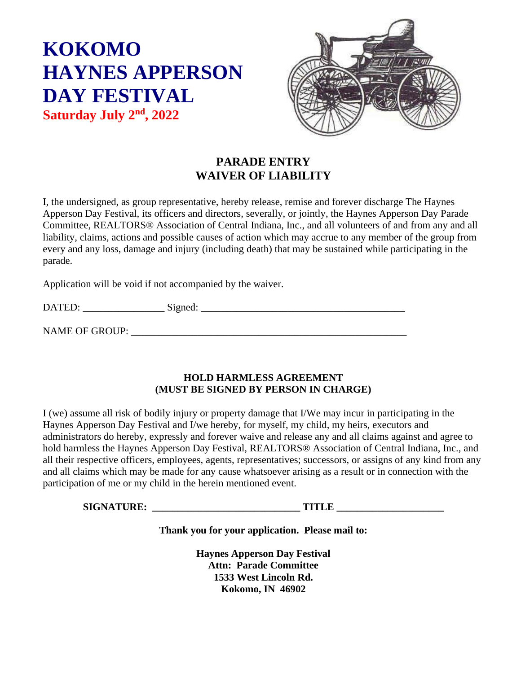# **KOKOMO HAYNES APPERSON DAY FESTIVAL**

**Saturday July 2 nd, 2022**



## **PARADE ENTRY WAIVER OF LIABILITY**

I, the undersigned, as group representative, hereby release, remise and forever discharge The Haynes Apperson Day Festival, its officers and directors, severally, or jointly, the Haynes Apperson Day Parade Committee, REALTORS® Association of Central Indiana, Inc., and all volunteers of and from any and all liability, claims, actions and possible causes of action which may accrue to any member of the group from every and any loss, damage and injury (including death) that may be sustained while participating in the parade.

Application will be void if not accompanied by the waiver.

| $\mathbf{D}\Delta$<br>◡ | $\tilde{\phantom{a}}$<br>້<br>. |  |
|-------------------------|---------------------------------|--|
|                         |                                 |  |

NAME OF GROUP: \_\_\_\_\_\_\_\_\_\_\_\_\_\_\_\_\_\_\_\_\_\_\_\_\_\_\_\_\_\_\_\_\_\_\_\_\_\_\_\_\_\_\_\_\_\_\_\_\_\_\_\_\_\_

#### **HOLD HARMLESS AGREEMENT (MUST BE SIGNED BY PERSON IN CHARGE)**

I (we) assume all risk of bodily injury or property damage that I/We may incur in participating in the Haynes Apperson Day Festival and I/we hereby, for myself, my child, my heirs, executors and administrators do hereby, expressly and forever waive and release any and all claims against and agree to hold harmless the Haynes Apperson Day Festival, REALTORS® Association of Central Indiana, Inc., and all their respective officers, employees, agents, representatives; successors, or assigns of any kind from any and all claims which may be made for any cause whatsoever arising as a result or in connection with the participation of me or my child in the herein mentioned event.

**SIGNATURE: \_\_\_\_\_\_\_\_\_\_\_\_\_\_\_\_\_\_\_\_\_\_\_\_\_\_\_\_\_ TITLE \_\_\_\_\_\_\_\_\_\_\_\_\_\_\_\_\_\_\_\_\_**

**Thank you for your application. Please mail to:**

**Haynes Apperson Day Festival Attn: Parade Committee 1533 West Lincoln Rd. Kokomo, IN 46902**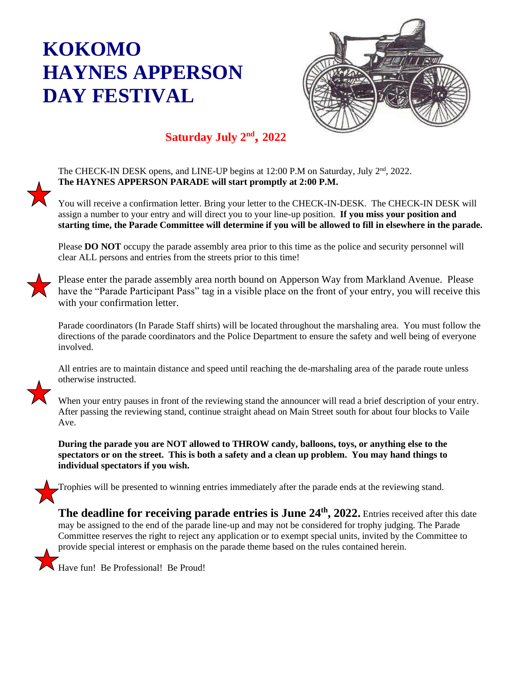## **KOKOMO HAYNES APPERSON DAY FESTIVAL**



## **Saturday July 2 nd , 2022**

The CHECK-IN DESK opens, and LINE-UP begins at 12:00 P.M on Saturday, July 2<sup>nd</sup>, 2022. **The HAYNES APPERSON PARADE will start promptly at 2:00 P.M.**

You will receive a confirmation letter. Bring your letter to the CHECK-IN-DESK. The CHECK-IN DESK will assign a number to your entry and will direct you to your line-up position. **If you miss your position and starting time, the Parade Committee will determine if you will be allowed to fill in elsewhere in the parade.** 

Please **DO NOT** occupy the parade assembly area prior to this time as the police and security personnel will clear ALL persons and entries from the streets prior to this time!

Please enter the parade assembly area north bound on Apperson Way from Markland Avenue. Please have the "Parade Participant Pass" tag in a visible place on the front of your entry, you will receive this with your confirmation letter.

Parade coordinators (In Parade Staff shirts) will be located throughout the marshaling area. You must follow the directions of the parade coordinators and the Police Department to ensure the safety and well being of everyone involved.

All entries are to maintain distance and speed until reaching the de-marshaling area of the parade route unless otherwise instructed.

When your entry pauses in front of the reviewing stand the announcer will read a brief description of your entry. After passing the reviewing stand, continue straight ahead on Main Street south for about four blocks to Vaile Ave.

**During the parade you are NOT allowed to THROW candy, balloons, toys, or anything else to the spectators or on the street. This is both a safety and a clean up problem. You may hand things to individual spectators if you wish.**

Trophies will be presented to winning entries immediately after the parade ends at the reviewing stand.

The deadline for receiving parade entries is June 24<sup>th</sup>, 2022. Entries received after this date may be assigned to the end of the parade line-up and may not be considered for trophy judging. The Parade Committee reserves the right to reject any application or to exempt special units, invited by the Committee to provide special interest or emphasis on the parade theme based on the rules contained herein.



Have fun! Be Professional! Be Proud!